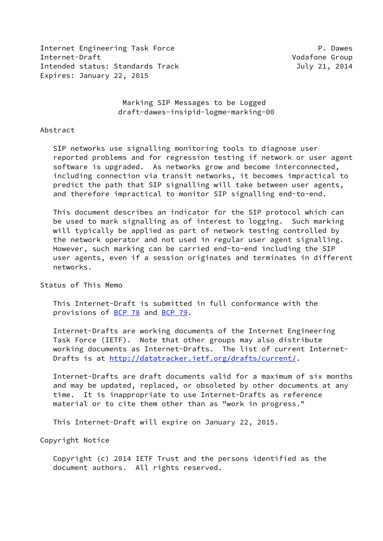Internet Engineering Task Force **P. Dawes** Internet-Draft Vodafone Group Intended status: Standards Track July 21, 2014 Expires: January 22, 2015

 Marking SIP Messages to be Logged draft-dawes-insipid-logme-marking-00

#### Abstract

 SIP networks use signalling monitoring tools to diagnose user reported problems and for regression testing if network or user agent software is upgraded. As networks grow and become interconnected, including connection via transit networks, it becomes impractical to predict the path that SIP signalling will take between user agents, and therefore impractical to monitor SIP signalling end-to-end.

 This document describes an indicator for the SIP protocol which can be used to mark signalling as of interest to logging. Such marking will typically be applied as part of network testing controlled by the network operator and not used in regular user agent signalling. However, such marking can be carried end-to-end including the SIP user agents, even if a session originates and terminates in different networks.

Status of This Memo

 This Internet-Draft is submitted in full conformance with the provisions of [BCP 78](https://datatracker.ietf.org/doc/pdf/bcp78) and [BCP 79](https://datatracker.ietf.org/doc/pdf/bcp79).

 Internet-Drafts are working documents of the Internet Engineering Task Force (IETF). Note that other groups may also distribute working documents as Internet-Drafts. The list of current Internet- Drafts is at<http://datatracker.ietf.org/drafts/current/>.

 Internet-Drafts are draft documents valid for a maximum of six months and may be updated, replaced, or obsoleted by other documents at any time. It is inappropriate to use Internet-Drafts as reference material or to cite them other than as "work in progress."

This Internet-Draft will expire on January 22, 2015.

Copyright Notice

 Copyright (c) 2014 IETF Trust and the persons identified as the document authors. All rights reserved.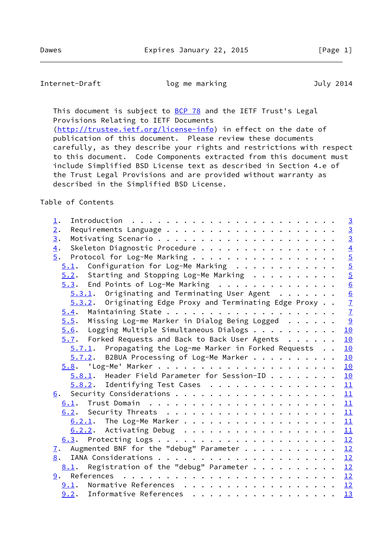Internet-Draft **log me marking and all analy 2014** 

This document is subject to **[BCP 78](https://datatracker.ietf.org/doc/pdf/bcp78)** and the IETF Trust's Legal Provisions Relating to IETF Documents

 [\(http://trustee.ietf.org/license-info](http://trustee.ietf.org/license-info)) in effect on the date of publication of this document. Please review these documents carefully, as they describe your rights and restrictions with respect to this document. Code Components extracted from this document must include Simplified BSD License text as described in Section 4.e of the Trust Legal Provisions and are provided without warranty as described in the Simplified BSD License.

# Table of Contents

| 1.                                                                  | $\overline{3}$                                  |
|---------------------------------------------------------------------|-------------------------------------------------|
| 2.                                                                  | $\frac{3}{3}$                                   |
| 3.                                                                  |                                                 |
| Skeleton Diagnostic Procedure<br>$\overline{4}$ .                   |                                                 |
| 5.<br>Protocol for Log-Me Marking                                   | $\frac{4}{6}$ or $\frac{1}{6}$ or $\frac{1}{6}$ |
| $5.1$ . Configuration for Log-Me Marking                            |                                                 |
| $5.2$ . Starting and Stopping Log-Me Marking                        |                                                 |
| $5.3$ . End Points of Log-Me Marking                                |                                                 |
| $5.3.1$ . Originating and Terminating User Agent                    | $\frac{6}{7}$                                   |
| 5.3.2. Originating Edge Proxy and Terminating Edge Proxy            |                                                 |
|                                                                     |                                                 |
| 5.5. Missing Log-me Marker in Dialog Being Logged $\cdots \cdots$ 9 |                                                 |
| $\underline{5.6}$ . Logging Multiple Simultaneous Dialogs 10        |                                                 |
| 5.7. Forked Requests and Back to Back User Agents 10                |                                                 |
| 5.7.1. Propagating the Log-me Marker in Forked Requests 10          |                                                 |
| 5.7.2. B2BUA Processing of Log-Me Marker 10                         |                                                 |
|                                                                     |                                                 |
| $5.8.1$ . Header Field Parameter for Session-ID 10                  |                                                 |
| $5.8.2$ . Identifying Test Cases 11                                 |                                                 |
|                                                                     |                                                 |
|                                                                     |                                                 |
|                                                                     |                                                 |
| $\underline{6.2.1}$ . The Log-Me Marker 11                          |                                                 |
| $\underline{6.2.2}$ . Activating Debug 11                           |                                                 |
|                                                                     |                                                 |
| 7. Augmented BNF for the "debug" Parameter 12                       |                                                 |
|                                                                     |                                                 |
| Registration of the "debug" Parameter $\cdots$ 12<br>8.1.           |                                                 |
|                                                                     |                                                 |
| 9.1. Normative References 12                                        |                                                 |
| 9.2. Informative References                                         | 13                                              |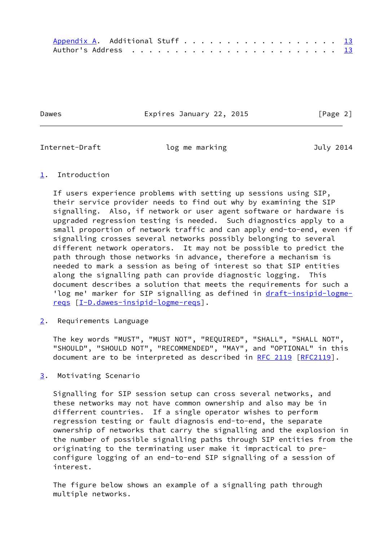Dawes **Expires January 22, 2015** [Page 2]

<span id="page-2-1"></span>Internet-Draft and log me marking and the July 2014

# <span id="page-2-0"></span>[1](#page-2-0). Introduction

 If users experience problems with setting up sessions using SIP, their service provider needs to find out why by examining the SIP signalling. Also, if network or user agent software or hardware is upgraded regression testing is needed. Such diagnostics apply to a small proportion of network traffic and can apply end-to-end, even if signalling crosses several networks possibly belonging to several different network operators. It may not be possible to predict the path through those networks in advance, therefore a mechanism is needed to mark a session as being of interest so that SIP entities along the signalling path can provide diagnostic logging. This document describes a solution that meets the requirements for such a 'log me' marker for SIP signalling as defined in [draft-insipid-logme](https://datatracker.ietf.org/doc/pdf/draft-insipid-logme-reqs) [reqs](https://datatracker.ietf.org/doc/pdf/draft-insipid-logme-reqs) [\[I-D.dawes-insipid-logme-reqs](#page-13-5)].

<span id="page-2-2"></span>[2](#page-2-2). Requirements Language

 The key words "MUST", "MUST NOT", "REQUIRED", "SHALL", "SHALL NOT", "SHOULD", "SHOULD NOT", "RECOMMENDED", "MAY", and "OPTIONAL" in this document are to be interpreted as described in [RFC 2119 \[RFC2119](https://datatracker.ietf.org/doc/pdf/rfc2119)].

<span id="page-2-3"></span>[3](#page-2-3). Motivating Scenario

 Signalling for SIP session setup can cross several networks, and these networks may not have common ownership and also may be in differrent countries. If a single operator wishes to perform regression testing or fault diagnosis end-to-end, the separate ownership of networks that carry the signalling and the explosion in the number of possible signalling paths through SIP entities from the originating to the terminating user make it impractical to pre configure logging of an end-to-end SIP signalling of a session of interest.

 The figure below shows an example of a signalling path through multiple networks.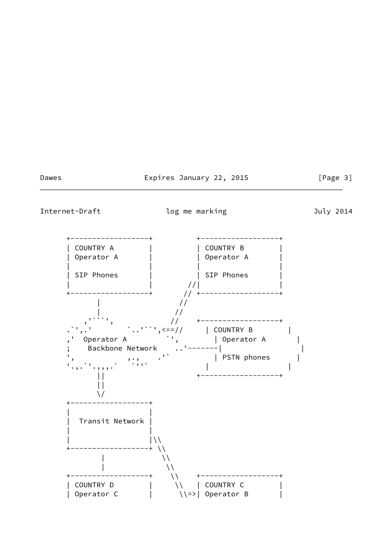# Dawes **Expires January 22, 2015** [Page 3]

<span id="page-3-0"></span>

Internet-Draft **log me marking and all analy 2014** 

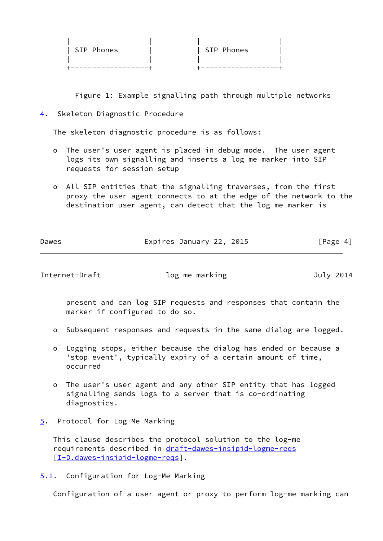| SIP Phones | SIP Phones |
|------------|------------|
|            |            |
|            |            |

Figure 1: Example signalling path through multiple networks

<span id="page-4-0"></span>[4](#page-4-0). Skeleton Diagnostic Procedure

The skeleton diagnostic procedure is as follows:

- o The user's user agent is placed in debug mode. The user agent logs its own signalling and inserts a log me marker into SIP requests for session setup
- o All SIP entities that the signalling traverses, from the first proxy the user agent connects to at the edge of the network to the destination user agent, can detect that the log me marker is

| $\sim$ $\sim$ $\sim$ |  |  |
|----------------------|--|--|

Dawes **Expires January 22, 2015** [Page 4]

<span id="page-4-2"></span>Internet-Draft **log me marking and all analy 2014** 

 present and can log SIP requests and responses that contain the marker if configured to do so.

- o Subsequent responses and requests in the same dialog are logged.
- o Logging stops, either because the dialog has ended or because a 'stop event', typically expiry of a certain amount of time, occurred
- o The user's user agent and any other SIP entity that has logged signalling sends logs to a server that is co-ordinating diagnostics.
- <span id="page-4-1"></span>[5](#page-4-1). Protocol for Log-Me Marking

 This clause describes the protocol solution to the log-me requirements described in [draft-dawes-insipid-logme-reqs](https://datatracker.ietf.org/doc/pdf/draft-dawes-insipid-logme-reqs) [\[I-D.dawes-insipid-logme-reqs](#page-13-5)].

<span id="page-4-3"></span>[5.1](#page-4-3). Configuration for Log-Me Marking

Configuration of a user agent or proxy to perform log-me marking can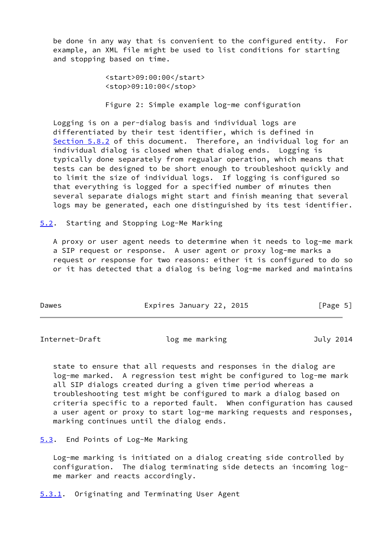be done in any way that is convenient to the configured entity. For example, an XML file might be used to list conditions for starting and stopping based on time.

> <start>09:00:00</start> <stop>09:10:00</stop>

Figure 2: Simple example log-me configuration

 Logging is on a per-dialog basis and individual logs are differentiated by their test identifier, which is defined in [Section 5.8.2](#page-11-0) of this document. Therefore, an individual log for an individual dialog is closed when that dialog ends. Logging is typically done separately from regualar operation, which means that tests can be designed to be short enough to troubleshoot quickly and to limit the size of individual logs. If logging is configured so that everything is logged for a specified number of minutes then several separate dialogs might start and finish meaning that several logs may be generated, each one distinguished by its test identifier.

<span id="page-5-0"></span>[5.2](#page-5-0). Starting and Stopping Log-Me Marking

 A proxy or user agent needs to determine when it needs to log-me mark a SIP request or response. A user agent or proxy log-me marks a request or response for two reasons: either it is configured to do so or it has detected that a dialog is being log-me marked and maintains

| Dawes | Expires January 22, 2015 | [Page 5] |
|-------|--------------------------|----------|
|-------|--------------------------|----------|

<span id="page-5-2"></span>Internet-Draft log me marking and July 2014

 state to ensure that all requests and responses in the dialog are log-me marked. A regression test might be configured to log-me mark all SIP dialogs created during a given time period whereas a troubleshooting test might be configured to mark a dialog based on criteria specific to a reported fault. When configuration has caused a user agent or proxy to start log-me marking requests and responses, marking continues until the dialog ends.

<span id="page-5-1"></span>[5.3](#page-5-1). End Points of Log-Me Marking

 Log-me marking is initiated on a dialog creating side controlled by configuration. The dialog terminating side detects an incoming log me marker and reacts accordingly.

<span id="page-5-3"></span>[5.3.1](#page-5-3). Originating and Terminating User Agent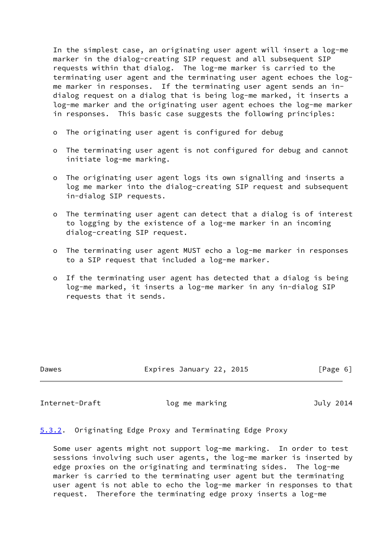In the simplest case, an originating user agent will insert a log-me marker in the dialog-creating SIP request and all subsequent SIP requests within that dialog. The log-me marker is carried to the terminating user agent and the terminating user agent echoes the log me marker in responses. If the terminating user agent sends an in dialog request on a dialog that is being log-me marked, it inserts a log-me marker and the originating user agent echoes the log-me marker in responses. This basic case suggests the following principles:

- o The originating user agent is configured for debug
- o The terminating user agent is not configured for debug and cannot initiate log-me marking.
- o The originating user agent logs its own signalling and inserts a log me marker into the dialog-creating SIP request and subsequent in-dialog SIP requests.
- o The terminating user agent can detect that a dialog is of interest to logging by the existence of a log-me marker in an incoming dialog-creating SIP request.
- o The terminating user agent MUST echo a log-me marker in responses to a SIP request that included a log-me marker.
- o If the terminating user agent has detected that a dialog is being log-me marked, it inserts a log-me marker in any in-dialog SIP requests that it sends.

Dawes Expires January 22, 2015 [Page 6]

<span id="page-6-1"></span>Internet-Draft and log me marking and the July 2014

# <span id="page-6-0"></span>[5.3.2](#page-6-0). Originating Edge Proxy and Terminating Edge Proxy

 Some user agents might not support log-me marking. In order to test sessions involving such user agents, the log-me marker is inserted by edge proxies on the originating and terminating sides. The log-me marker is carried to the terminating user agent but the terminating user agent is not able to echo the log-me marker in responses to that request. Therefore the terminating edge proxy inserts a log-me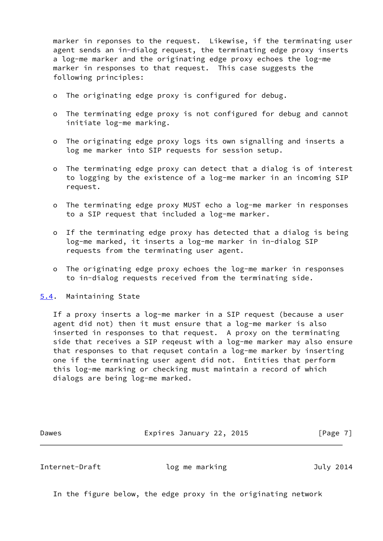marker in reponses to the request. Likewise, if the terminating user agent sends an in-dialog request, the terminating edge proxy inserts a log-me marker and the originating edge proxy echoes the log-me marker in responses to that request. This case suggests the following principles:

- o The originating edge proxy is configured for debug.
- o The terminating edge proxy is not configured for debug and cannot initiate log-me marking.
- o The originating edge proxy logs its own signalling and inserts a log me marker into SIP requests for session setup.
- o The terminating edge proxy can detect that a dialog is of interest to logging by the existence of a log-me marker in an incoming SIP request.
- o The terminating edge proxy MUST echo a log-me marker in responses to a SIP request that included a log-me marker.
- o If the terminating edge proxy has detected that a dialog is being log-me marked, it inserts a log-me marker in in-dialog SIP requests from the terminating user agent.
- o The originating edge proxy echoes the log-me marker in responses to in-dialog requests received from the terminating side.
- <span id="page-7-0"></span>[5.4](#page-7-0). Maintaining State

 If a proxy inserts a log-me marker in a SIP request (because a user agent did not) then it must ensure that a log-me marker is also inserted in responses to that request. A proxy on the terminating side that receives a SIP reqeust with a log-me marker may also ensure that responses to that requset contain a log-me marker by inserting one if the terminating user agent did not. Entities that perform this log-me marking or checking must maintain a record of which dialogs are being log-me marked.

Dawes **Expires January 22, 2015** [Page 7]

Internet-Draft log me marking and July 2014

In the figure below, the edge proxy in the originating network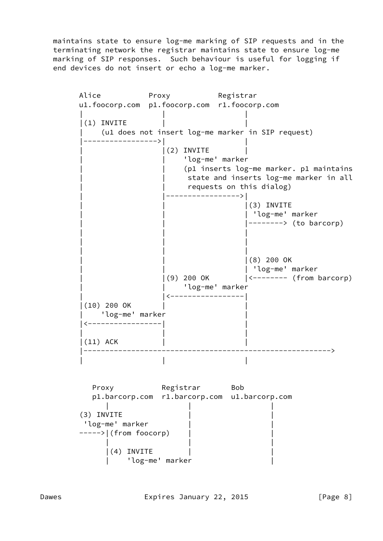maintains state to ensure log-me marking of SIP requests and in the terminating network the registrar maintains state to ensure log-me marking of SIP responses. Such behaviour is useful for logging if end devices do not insert or echo a log-me marker.

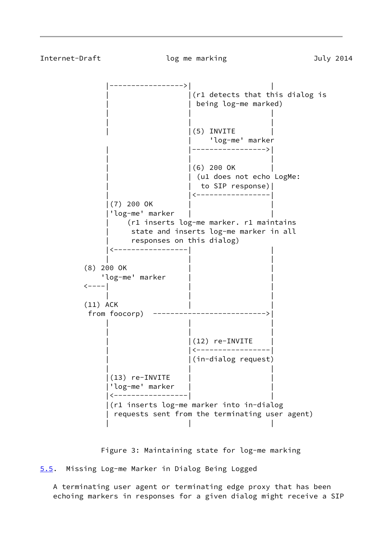<span id="page-9-1"></span>

Figure 3: Maintaining state for log-me marking

<span id="page-9-0"></span>[5.5](#page-9-0). Missing Log-me Marker in Dialog Being Logged

 A terminating user agent or terminating edge proxy that has been echoing markers in responses for a given dialog might receive a SIP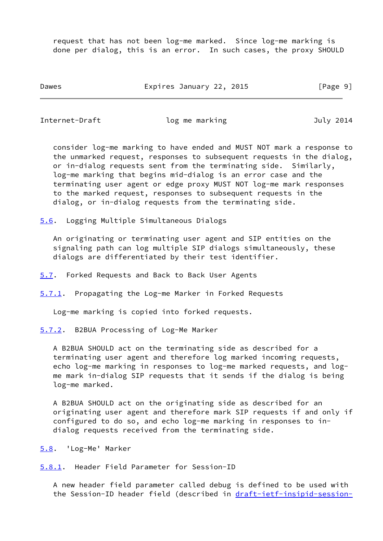request that has not been log-me marked. Since log-me marking is done per dialog, this is an error. In such cases, the proxy SHOULD

Dawes **Expires January 22, 2015** [Page 9]

<span id="page-10-1"></span>Internet-Draft log me marking and July 2014

 consider log-me marking to have ended and MUST NOT mark a response to the unmarked request, responses to subsequent requests in the dialog, or in-dialog requests sent from the terminating side. Similarly, log-me marking that begins mid-dialog is an error case and the terminating user agent or edge proxy MUST NOT log-me mark responses to the marked request, responses to subsequent requests in the dialog, or in-dialog requests from the terminating side.

<span id="page-10-0"></span>[5.6](#page-10-0). Logging Multiple Simultaneous Dialogs

 An originating or terminating user agent and SIP entities on the signaling path can log multiple SIP dialogs simultaneously, these dialogs are differentiated by their test identifier.

- <span id="page-10-2"></span>[5.7](#page-10-2). Forked Requests and Back to Back User Agents
- <span id="page-10-3"></span>[5.7.1](#page-10-3). Propagating the Log-me Marker in Forked Requests

Log-me marking is copied into forked requests.

<span id="page-10-4"></span>[5.7.2](#page-10-4). B2BUA Processing of Log-Me Marker

 A B2BUA SHOULD act on the terminating side as described for a terminating user agent and therefore log marked incoming requests, echo log-me marking in responses to log-me marked requests, and log me mark in-dialog SIP requests that it sends if the dialog is being log-me marked.

 A B2BUA SHOULD act on the originating side as described for an originating user agent and therefore mark SIP requests if and only if configured to do so, and echo log-me marking in responses to in dialog requests received from the terminating side.

<span id="page-10-5"></span>[5.8](#page-10-5). 'Log-Me' Marker

<span id="page-10-6"></span>[5.8.1](#page-10-6). Header Field Parameter for Session-ID

 A new header field parameter called debug is defined to be used with the Session-ID header field (described in [draft-ietf-insipid-session-](https://datatracker.ietf.org/doc/pdf/draft-ietf-insipid-session-id)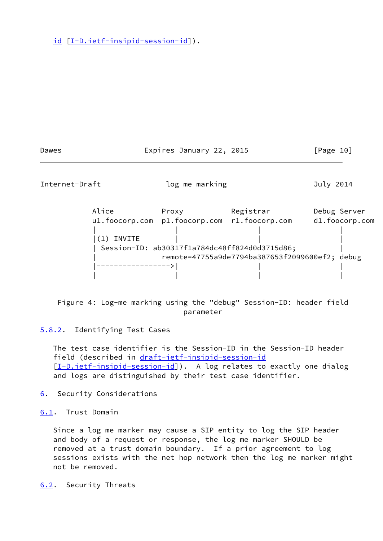[id](https://datatracker.ietf.org/doc/pdf/draft-ietf-insipid-session-id) [[I-D.ietf-insipid-session-id\]](#page-13-6)).

<span id="page-11-1"></span>

| Dawes          |               | Expires January 22, 2015 |                                                | [Page 10]      |
|----------------|---------------|--------------------------|------------------------------------------------|----------------|
| Internet-Draft |               | log me marking           |                                                | July 2014      |
|                | Alice         | Proxy                    | Registrar                                      | Debug Server   |
|                |               |                          | ul.foocorp.com pl.foocorp.com rl.foocorp.com   | d1.foocorp.com |
|                |               |                          |                                                |                |
|                | INVITE<br>(1) |                          |                                                |                |
|                |               |                          | Session-ID: ab30317f1a784dc48ff824d0d3715d86;  |                |
|                |               |                          | remote=47755a9de7794ba387653f2099600ef2; debug |                |
|                |               |                          |                                                |                |
|                |               |                          |                                                |                |

 Figure 4: Log-me marking using the "debug" Session-ID: header field parameter

<span id="page-11-0"></span>[5.8.2](#page-11-0). Identifying Test Cases

 The test case identifier is the Session-ID in the Session-ID header field (described in [draft-ietf-insipid-session-id](https://datatracker.ietf.org/doc/pdf/draft-ietf-insipid-session-id) [\[I-D.ietf-insipid-session-id](#page-13-6)]). A log relates to exactly one dialog and logs are distinguished by their test case identifier.

<span id="page-11-2"></span>[6](#page-11-2). Security Considerations

<span id="page-11-3"></span>[6.1](#page-11-3). Trust Domain

 Since a log me marker may cause a SIP entity to log the SIP header and body of a request or response, the log me marker SHOULD be removed at a trust domain boundary. If a prior agreement to log sessions exists with the net hop network then the log me marker might not be removed.

<span id="page-11-4"></span>[6.2](#page-11-4). Security Threats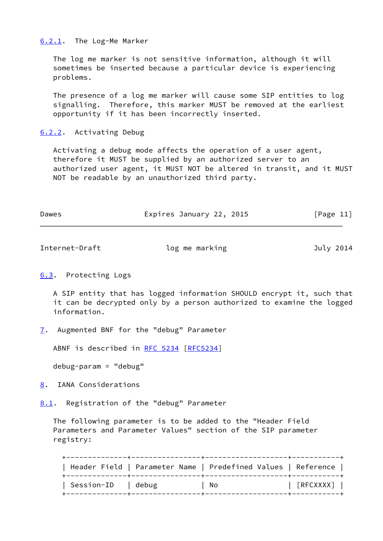### <span id="page-12-0"></span>[6.2.1](#page-12-0). The Log-Me Marker

 The log me marker is not sensitive information, although it will sometimes be inserted because a particular device is experiencing problems.

 The presence of a log me marker will cause some SIP entities to log signalling. Therefore, this marker MUST be removed at the earliest opportunity if it has been incorrectly inserted.

# <span id="page-12-1"></span>[6.2.2](#page-12-1). Activating Debug

 Activating a debug mode affects the operation of a user agent, therefore it MUST be supplied by an authorized server to an authorized user agent, it MUST NOT be altered in transit, and it MUST NOT be readable by an unauthorized third party.

| Dawes | Expires January 22, 2015 | [Page 11] |
|-------|--------------------------|-----------|
|       |                          |           |

<span id="page-12-3"></span>

| Internet-Draft | log me marking | July 2014 |
|----------------|----------------|-----------|
|                |                |           |

# <span id="page-12-2"></span>[6.3](#page-12-2). Protecting Logs

 A SIP entity that has logged information SHOULD encrypt it, such that it can be decrypted only by a person authorized to examine the logged information.

<span id="page-12-4"></span>[7](#page-12-4). Augmented BNF for the "debug" Parameter

ABNF is described in [RFC 5234](https://datatracker.ietf.org/doc/pdf/rfc5234) [[RFC5234](https://datatracker.ietf.org/doc/pdf/rfc5234)]

debug-param = "debug"

<span id="page-12-5"></span>[8](#page-12-5). IANA Considerations

<span id="page-12-6"></span>[8.1](#page-12-6). Registration of the "debug" Parameter

 The following parameter is to be added to the "Header Field Parameters and Parameter Values" section of the SIP parameter registry:

 +--------------+----------------+-------------------+-----------+ | Header Field | Parameter Name | Predefined Values | Reference | +--------------+----------------+-------------------+-----------+ | Session-ID | debug | No | [RFCXXXX] | +--------------+----------------+-------------------+-----------+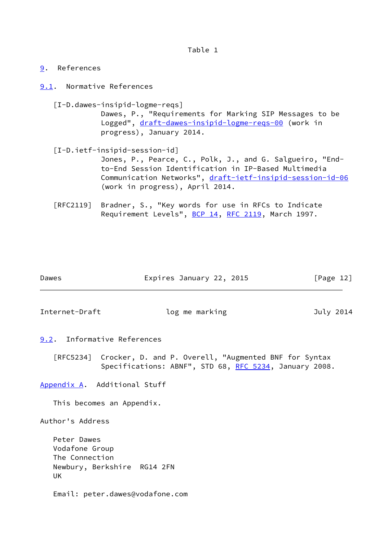Table 1

<span id="page-13-0"></span>[9](#page-13-0). References

<span id="page-13-1"></span>[9.1](#page-13-1). Normative References

<span id="page-13-5"></span> [I-D.dawes-insipid-logme-reqs] Dawes, P., "Requirements for Marking SIP Messages to be Logged", [draft-dawes-insipid-logme-reqs-00](https://datatracker.ietf.org/doc/pdf/draft-dawes-insipid-logme-reqs-00) (work in progress), January 2014.

- <span id="page-13-6"></span> [I-D.ietf-insipid-session-id] Jones, P., Pearce, C., Polk, J., and G. Salgueiro, "End to-End Session Identification in IP-Based Multimedia Communication Networks", [draft-ietf-insipid-session-id-06](https://datatracker.ietf.org/doc/pdf/draft-ietf-insipid-session-id-06) (work in progress), April 2014.
- [RFC2119] Bradner, S., "Key words for use in RFCs to Indicate Requirement Levels", [BCP 14](https://datatracker.ietf.org/doc/pdf/bcp14), [RFC 2119](https://datatracker.ietf.org/doc/pdf/rfc2119), March 1997.

| Dawes | Expires January 22, 2015 | [Page 12] |  |
|-------|--------------------------|-----------|--|
|       |                          |           |  |

<span id="page-13-3"></span>Internet-Draft log me marking and July 2014

<span id="page-13-2"></span>[9.2](#page-13-2). Informative References

 [RFC5234] Crocker, D. and P. Overell, "Augmented BNF for Syntax Specifications: ABNF", STD 68, [RFC 5234](https://datatracker.ietf.org/doc/pdf/rfc5234), January 2008.

<span id="page-13-4"></span>[Appendix A.](#page-13-4) Additional Stuff

This becomes an Appendix.

Author's Address

 Peter Dawes Vodafone Group The Connection Newbury, Berkshire RG14 2FN UK

Email: peter.dawes@vodafone.com